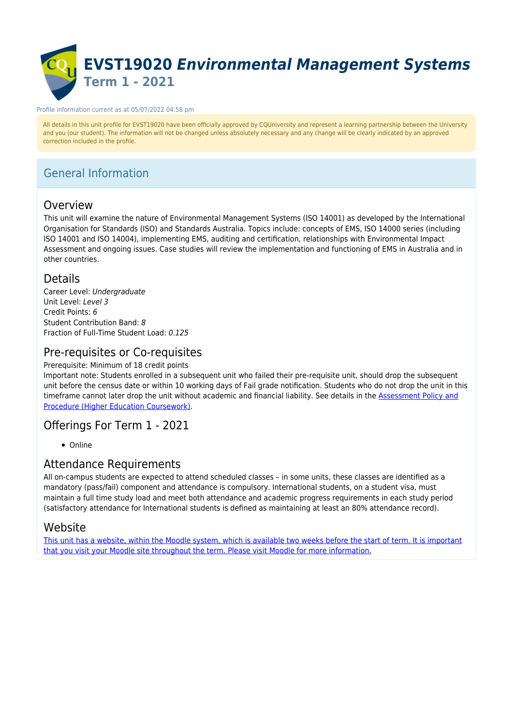

#### Profile information current as at 05/07/2022 04:58 pm

All details in this unit profile for EVST19020 have been officially approved by CQUniversity and represent a learning partnership between the University and you (our student). The information will not be changed unless absolutely necessary and any change will be clearly indicated by an approved correction included in the profile.

# General Information

### Overview

This unit will examine the nature of Environmental Management Systems (ISO 14001) as developed by the International Organisation for Standards (ISO) and Standards Australia. Topics include: concepts of EMS, ISO 14000 series (including ISO 14001 and ISO 14004), implementing EMS, auditing and certification, relationships with Environmental Impact Assessment and ongoing issues. Case studies will review the implementation and functioning of EMS in Australia and in other countries.

### Details

Career Level: Undergraduate Unit Level: Level 3 Credit Points: 6 Student Contribution Band: 8 Fraction of Full-Time Student Load: 0.125

# Pre-requisites or Co-requisites

Prerequisite: Minimum of 18 credit points

Important note: Students enrolled in a subsequent unit who failed their pre-requisite unit, should drop the subsequent unit before the census date or within 10 working days of Fail grade notification. Students who do not drop the unit in this timeframe cannot later drop the unit without academic and financial liability. See details in the [Assessment Policy and](https://www.cqu.edu.au/policy) [Procedure \(Higher Education Coursework\)](https://www.cqu.edu.au/policy).

### Offerings For Term 1 - 2021

• Online

### Attendance Requirements

All on-campus students are expected to attend scheduled classes – in some units, these classes are identified as a mandatory (pass/fail) component and attendance is compulsory. International students, on a student visa, must maintain a full time study load and meet both attendance and academic progress requirements in each study period (satisfactory attendance for International students is defined as maintaining at least an 80% attendance record).

### Website

[This unit has a website, within the Moodle system, which is available two weeks before the start of term. It is important](https://moodle.cqu.edu.au) [that you visit your Moodle site throughout the term. Please visit Moodle for more information.](https://moodle.cqu.edu.au)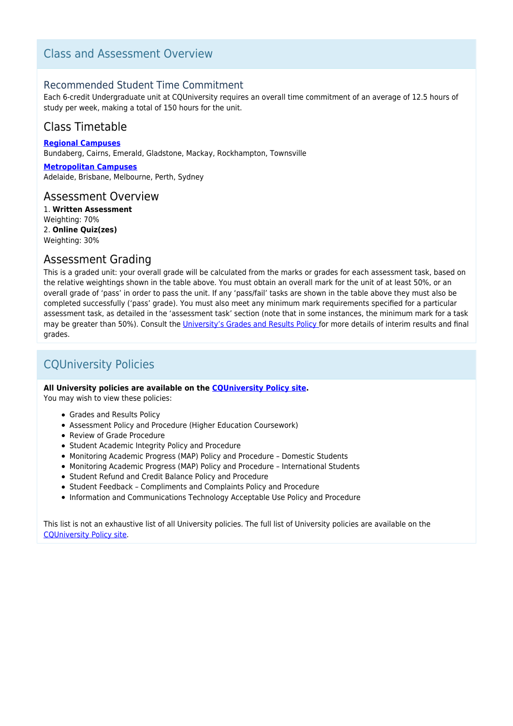# Class and Assessment Overview

### Recommended Student Time Commitment

Each 6-credit Undergraduate unit at CQUniversity requires an overall time commitment of an average of 12.5 hours of study per week, making a total of 150 hours for the unit.

# Class Timetable

**[Regional Campuses](https://handbook.cqu.edu.au/facet/timetables)** Bundaberg, Cairns, Emerald, Gladstone, Mackay, Rockhampton, Townsville

**[Metropolitan Campuses](https://handbook.cqu.edu.au/facet/timetables)** Adelaide, Brisbane, Melbourne, Perth, Sydney

### Assessment Overview

1. **Written Assessment** Weighting: 70% 2. **Online Quiz(zes)** Weighting: 30%

### Assessment Grading

This is a graded unit: your overall grade will be calculated from the marks or grades for each assessment task, based on the relative weightings shown in the table above. You must obtain an overall mark for the unit of at least 50%, or an overall grade of 'pass' in order to pass the unit. If any 'pass/fail' tasks are shown in the table above they must also be completed successfully ('pass' grade). You must also meet any minimum mark requirements specified for a particular assessment task, as detailed in the 'assessment task' section (note that in some instances, the minimum mark for a task may be greater than 50%). Consult the [University's Grades and Results Policy](https://www.cqu.edu.au/policy) for more details of interim results and final grades.

# CQUniversity Policies

#### **All University policies are available on the [CQUniversity Policy site.](https://policy.cqu.edu.au/)**

You may wish to view these policies:

- Grades and Results Policy
- Assessment Policy and Procedure (Higher Education Coursework)
- Review of Grade Procedure
- Student Academic Integrity Policy and Procedure
- Monitoring Academic Progress (MAP) Policy and Procedure Domestic Students
- Monitoring Academic Progress (MAP) Policy and Procedure International Students
- Student Refund and Credit Balance Policy and Procedure
- Student Feedback Compliments and Complaints Policy and Procedure
- Information and Communications Technology Acceptable Use Policy and Procedure

This list is not an exhaustive list of all University policies. The full list of University policies are available on the [CQUniversity Policy site.](https://policy.cqu.edu.au/)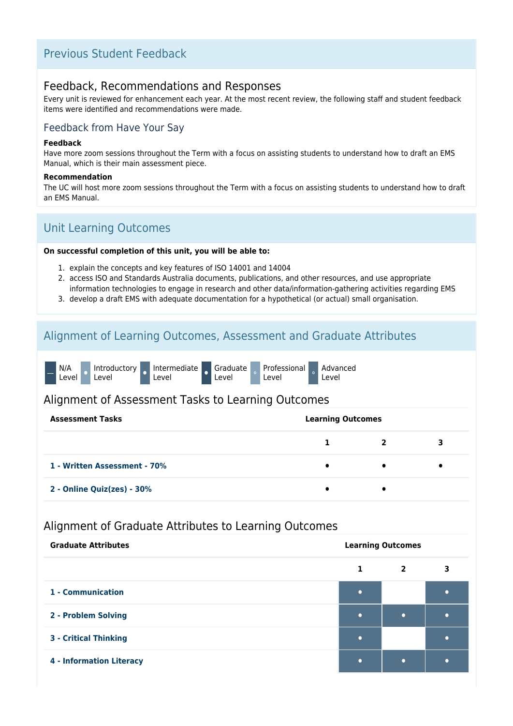# Previous Student Feedback

### Feedback, Recommendations and Responses

Every unit is reviewed for enhancement each year. At the most recent review, the following staff and student feedback items were identified and recommendations were made.

### Feedback from Have Your Say

#### **Feedback**

Have more zoom sessions throughout the Term with a focus on assisting students to understand how to draft an EMS Manual, which is their main assessment piece.

#### **Recommendation**

The UC will host more zoom sessions throughout the Term with a focus on assisting students to understand how to draft an EMS Manual.

# Unit Learning Outcomes

#### **On successful completion of this unit, you will be able to:**

- 1. explain the concepts and key features of ISO 14001 and 14004
- 2. access ISO and Standards Australia documents, publications, and other resources, and use appropriate information technologies to engage in research and other data/information-gathering activities regarding EMS
- 3. develop a draft EMS with adequate documentation for a hypothetical (or actual) small organisation.

## Alignment of Learning Outcomes, Assessment and Graduate Attributes

|  | N/A<br>Level <sup>'</sup> |  | Introductory<br>Level |  | Intermediate<br>Level |  | <b>A</b> Graduate<br>Level |  | <b>Professional</b><br>Level |  | Advanced<br>Level |
|--|---------------------------|--|-----------------------|--|-----------------------|--|----------------------------|--|------------------------------|--|-------------------|
|--|---------------------------|--|-----------------------|--|-----------------------|--|----------------------------|--|------------------------------|--|-------------------|

### Alignment of Assessment Tasks to Learning Outcomes

| <b>Assessment Tasks</b>      |           | <b>Learning Outcomes</b> |   |  |  |  |  |
|------------------------------|-----------|--------------------------|---|--|--|--|--|
|                              |           |                          | З |  |  |  |  |
| 1 - Written Assessment - 70% | $\bullet$ |                          |   |  |  |  |  |
| 2 - Online Quiz(zes) - 30%   |           |                          |   |  |  |  |  |

## Alignment of Graduate Attributes to Learning Outcomes

| <b>Graduate Attributes</b>      | <b>Learning Outcomes</b> |                |   |  |  |  |
|---------------------------------|--------------------------|----------------|---|--|--|--|
|                                 | 1                        | $\overline{2}$ | 3 |  |  |  |
| 1 - Communication               | ٠                        |                |   |  |  |  |
| 2 - Problem Solving             | ٠                        | $\bullet$      |   |  |  |  |
| <b>3 - Critical Thinking</b>    | ٠                        |                |   |  |  |  |
| <b>4 - Information Literacy</b> | ٠                        | $\bullet$      |   |  |  |  |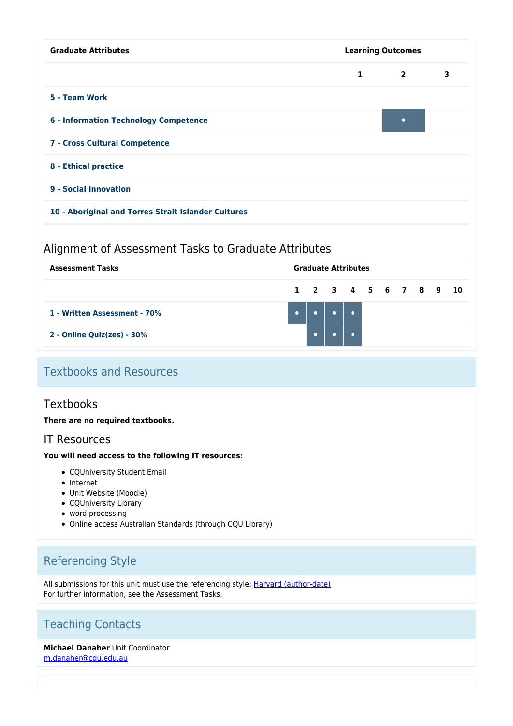| <b>Graduate Attributes</b>                          | <b>Learning Outcomes</b> |                |   |  |  |  |  |
|-----------------------------------------------------|--------------------------|----------------|---|--|--|--|--|
|                                                     | 1                        | $\overline{2}$ | 3 |  |  |  |  |
| 5 - Team Work                                       |                          |                |   |  |  |  |  |
| <b>6 - Information Technology Competence</b>        |                          | $\bullet$      |   |  |  |  |  |
| 7 - Cross Cultural Competence                       |                          |                |   |  |  |  |  |
| 8 - Ethical practice                                |                          |                |   |  |  |  |  |
| 9 - Social Innovation                               |                          |                |   |  |  |  |  |
| 10 - Aboriginal and Torres Strait Islander Cultures |                          |                |   |  |  |  |  |

### Alignment of Assessment Tasks to Graduate Attributes

| <b>Assessment Tasks</b>       |  |                                         | <b>Graduate Attributes</b> |  |  |  |  |  |  |  |  |
|-------------------------------|--|-----------------------------------------|----------------------------|--|--|--|--|--|--|--|--|
|                               |  | 1 2 3 4 5 6 7 8 9 10                    |                            |  |  |  |  |  |  |  |  |
| 1 - Written Assessment - 70%  |  | $\bullet$ $\bullet$ $\bullet$ $\bullet$ |                            |  |  |  |  |  |  |  |  |
| 2 - Online Quiz(zes) - $30\%$ |  |                                         |                            |  |  |  |  |  |  |  |  |

# Textbooks and Resources

### **Textbooks**

**There are no required textbooks.**

### IT Resources

#### **You will need access to the following IT resources:**

- CQUniversity Student Email
- Internet
- Unit Website (Moodle)
- CQUniversity Library
- word processing
- Online access Australian Standards (through CQU Library)

# Referencing Style

All submissions for this unit must use the referencing style: **[Harvard \(author-date\)](https://delivery-cqucontenthub.stylelabs.cloud/api/public/content/harvard-referencing-style.pdf?v=306efe7e)** For further information, see the Assessment Tasks.

# Teaching Contacts

#### **Michael Danaher** Unit Coordinator [m.danaher@cqu.edu.au](mailto:m.danaher@cqu.edu.au)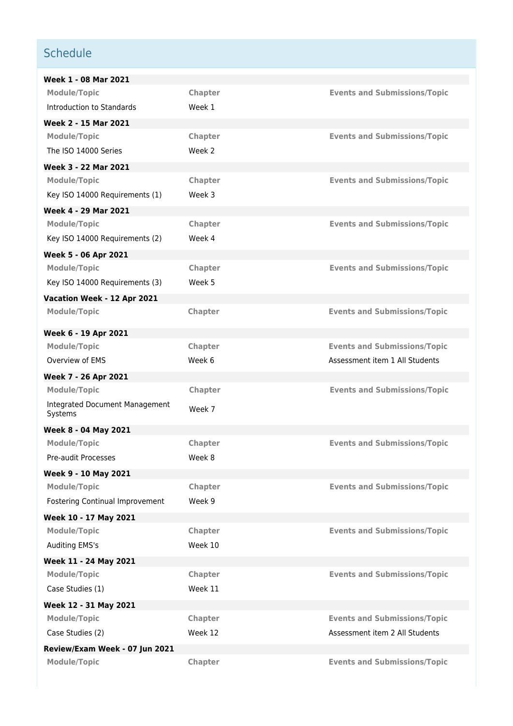# **Schedule**

| Week 1 - 08 Mar 2021                      |                |                                     |
|-------------------------------------------|----------------|-------------------------------------|
| <b>Module/Topic</b>                       | <b>Chapter</b> | <b>Events and Submissions/Topic</b> |
| Introduction to Standards                 | Week 1         |                                     |
| Week 2 - 15 Mar 2021                      |                |                                     |
| <b>Module/Topic</b>                       | Chapter        | <b>Events and Submissions/Topic</b> |
| The ISO 14000 Series                      | Week 2         |                                     |
| Week 3 - 22 Mar 2021                      |                |                                     |
| <b>Module/Topic</b>                       | Chapter        | <b>Events and Submissions/Topic</b> |
| Key ISO 14000 Requirements (1)            | Week 3         |                                     |
| Week 4 - 29 Mar 2021                      |                |                                     |
| <b>Module/Topic</b>                       | Chapter        | <b>Events and Submissions/Topic</b> |
| Key ISO 14000 Requirements (2)            | Week 4         |                                     |
| Week 5 - 06 Apr 2021                      |                |                                     |
| <b>Module/Topic</b>                       | Chapter        | <b>Events and Submissions/Topic</b> |
| Key ISO 14000 Requirements (3)            | Week 5         |                                     |
| Vacation Week - 12 Apr 2021               |                |                                     |
| <b>Module/Topic</b>                       | <b>Chapter</b> | <b>Events and Submissions/Topic</b> |
| Week 6 - 19 Apr 2021                      |                |                                     |
| <b>Module/Topic</b>                       | Chapter        | <b>Events and Submissions/Topic</b> |
| Overview of EMS                           | Week 6         | Assessment item 1 All Students      |
| Week 7 - 26 Apr 2021                      |                |                                     |
| <b>Module/Topic</b>                       | Chapter        | <b>Events and Submissions/Topic</b> |
| Integrated Document Management<br>Systems | Week 7         |                                     |
| Week 8 - 04 May 2021                      |                |                                     |
| <b>Module/Topic</b>                       | Chapter        | <b>Events and Submissions/Topic</b> |
| Pre-audit Processes                       | Week 8         |                                     |
| Week 9 - 10 May 2021                      |                |                                     |
| <b>Module/Topic</b>                       | Chapter        | <b>Events and Submissions/Topic</b> |
| Fostering Continual Improvement           | Week 9         |                                     |
| Week 10 - 17 May 2021                     |                |                                     |
| <b>Module/Topic</b>                       | Chapter        | <b>Events and Submissions/Topic</b> |
| Auditing EMS's                            | Week 10        |                                     |
| Week 11 - 24 May 2021                     |                |                                     |
| <b>Module/Topic</b>                       | Chapter        | <b>Events and Submissions/Topic</b> |
| Case Studies (1)                          | Week 11        |                                     |
| Week 12 - 31 May 2021                     |                |                                     |
| <b>Module/Topic</b>                       | Chapter        | <b>Events and Submissions/Topic</b> |
| Case Studies (2)                          | Week 12        | Assessment item 2 All Students      |
| Review/Exam Week - 07 Jun 2021            |                |                                     |
| <b>Module/Topic</b>                       | Chapter        | <b>Events and Submissions/Topic</b> |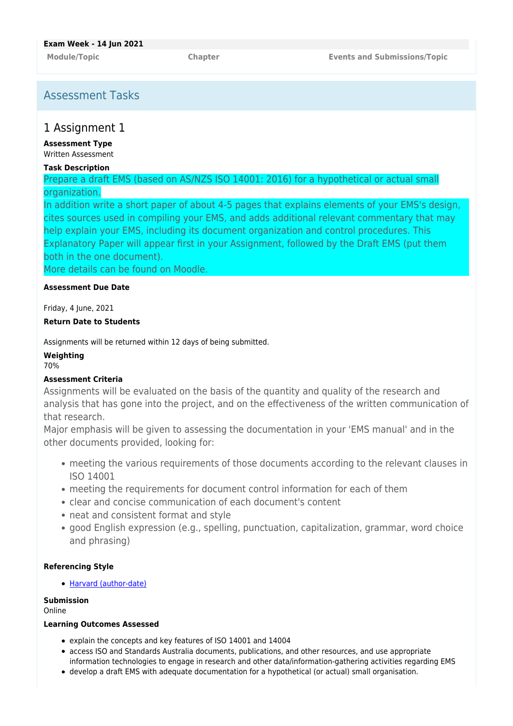# Assessment Tasks

### 1 Assignment 1

**Assessment Type** Written Assessment

#### **Task Description**

Prepare a draft EMS (based on AS/NZS ISO 14001: 2016) for a hypothetical or actual small organization.

In addition write a short paper of about 4-5 pages that explains elements of your EMS's design, cites sources used in compiling your EMS, and adds additional relevant commentary that may help explain your EMS, including its document organization and control procedures. This Explanatory Paper will appear first in your Assignment, followed by the Draft EMS (put them both in the one document).

More details can be found on Moodle.

#### **Assessment Due Date**

Friday, 4 June, 2021

#### **Return Date to Students**

Assignments will be returned within 12 days of being submitted.

#### **Weighting**

70%

#### **Assessment Criteria**

Assignments will be evaluated on the basis of the quantity and quality of the research and analysis that has gone into the project, and on the effectiveness of the written communication of that research.

Major emphasis will be given to assessing the documentation in your 'EMS manual' and in the other documents provided, looking for:

- meeting the various requirements of those documents according to the relevant clauses in ISO 14001
- meeting the requirements for document control information for each of them
- clear and concise communication of each document's content
- neat and consistent format and style
- good English expression (e.g., spelling, punctuation, capitalization, grammar, word choice and phrasing)

#### **Referencing Style**

[Harvard \(author-date\)](https://delivery-cqucontenthub.stylelabs.cloud/api/public/content/harvard-referencing-style.pdf?v=306efe7e)

#### **Submission**

Online

#### **Learning Outcomes Assessed**

- explain the concepts and key features of ISO 14001 and 14004
- access ISO and Standards Australia documents, publications, and other resources, and use appropriate information technologies to engage in research and other data/information-gathering activities regarding EMS
- develop a draft EMS with adequate documentation for a hypothetical (or actual) small organisation.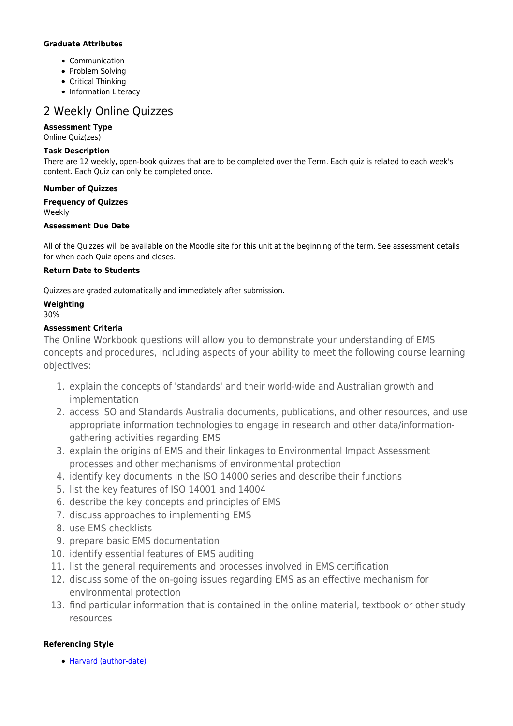#### **Graduate Attributes**

- Communication
- Problem Solving
- Critical Thinking
- Information Literacy

# 2 Weekly Online Quizzes

#### **Assessment Type**

Online Quiz(zes)

#### **Task Description**

There are 12 weekly, open-book quizzes that are to be completed over the Term. Each quiz is related to each week's content. Each Quiz can only be completed once.

#### **Number of Quizzes**

**Frequency of Quizzes** Weekly

#### **Assessment Due Date**

All of the Quizzes will be available on the Moodle site for this unit at the beginning of the term. See assessment details for when each Quiz opens and closes.

#### **Return Date to Students**

Quizzes are graded automatically and immediately after submission.

### **Weighting**

#### 30%

#### **Assessment Criteria**

The Online Workbook questions will allow you to demonstrate your understanding of EMS concepts and procedures, including aspects of your ability to meet the following course learning objectives:

- 1. explain the concepts of 'standards' and their world-wide and Australian growth and implementation
- 2. access ISO and Standards Australia documents, publications, and other resources, and use appropriate information technologies to engage in research and other data/informationgathering activities regarding EMS
- 3. explain the origins of EMS and their linkages to Environmental Impact Assessment processes and other mechanisms of environmental protection
- 4. identify key documents in the ISO 14000 series and describe their functions
- 5. list the key features of ISO 14001 and 14004
- 6. describe the key concepts and principles of EMS
- 7. discuss approaches to implementing EMS
- 8. use EMS checklists
- 9. prepare basic EMS documentation
- 10. identify essential features of EMS auditing
- 11. list the general requirements and processes involved in EMS certification
- 12. discuss some of the on-going issues regarding EMS as an effective mechanism for environmental protection
- 13. find particular information that is contained in the online material, textbook or other study resources

#### **Referencing Style**

[Harvard \(author-date\)](https://delivery-cqucontenthub.stylelabs.cloud/api/public/content/harvard-referencing-style.pdf?v=306efe7e)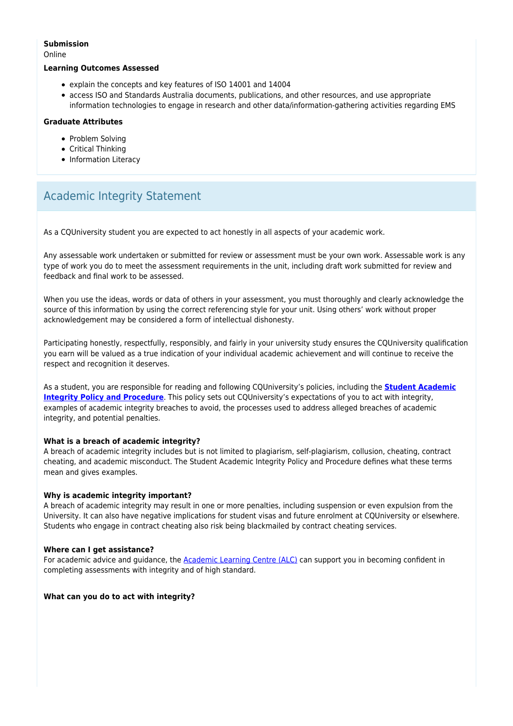#### **Submission**

Online

#### **Learning Outcomes Assessed**

- explain the concepts and key features of ISO 14001 and 14004
- access ISO and Standards Australia documents, publications, and other resources, and use appropriate information technologies to engage in research and other data/information-gathering activities regarding EMS

#### **Graduate Attributes**

- Problem Solving
- Critical Thinking
- Information Literacy

# Academic Integrity Statement

As a CQUniversity student you are expected to act honestly in all aspects of your academic work.

Any assessable work undertaken or submitted for review or assessment must be your own work. Assessable work is any type of work you do to meet the assessment requirements in the unit, including draft work submitted for review and feedback and final work to be assessed.

When you use the ideas, words or data of others in your assessment, you must thoroughly and clearly acknowledge the source of this information by using the correct referencing style for your unit. Using others' work without proper acknowledgement may be considered a form of intellectual dishonesty.

Participating honestly, respectfully, responsibly, and fairly in your university study ensures the CQUniversity qualification you earn will be valued as a true indication of your individual academic achievement and will continue to receive the respect and recognition it deserves.

As a student, you are responsible for reading and following CQUniversity's policies, including the **[Student Academic](https://www.cqu.edu.au/policy/sharepoint-document-download?file_uri={BE8380F3-F86D-4C55-AC0D-84A81EAFD6A2}/Student%20Academic%20Integrity%20Policy%20and%20Procedure%20(formerly%20known%20as%20the%20Academic%20Misconduct%20Procedure).pdf) [Integrity Policy and Procedure](https://www.cqu.edu.au/policy/sharepoint-document-download?file_uri={BE8380F3-F86D-4C55-AC0D-84A81EAFD6A2}/Student%20Academic%20Integrity%20Policy%20and%20Procedure%20(formerly%20known%20as%20the%20Academic%20Misconduct%20Procedure).pdf)**. This policy sets out CQUniversity's expectations of you to act with integrity, examples of academic integrity breaches to avoid, the processes used to address alleged breaches of academic integrity, and potential penalties.

#### **What is a breach of academic integrity?**

A breach of academic integrity includes but is not limited to plagiarism, self-plagiarism, collusion, cheating, contract cheating, and academic misconduct. The Student Academic Integrity Policy and Procedure defines what these terms mean and gives examples.

#### **Why is academic integrity important?**

A breach of academic integrity may result in one or more penalties, including suspension or even expulsion from the University. It can also have negative implications for student visas and future enrolment at CQUniversity or elsewhere. Students who engage in contract cheating also risk being blackmailed by contract cheating services.

#### **Where can I get assistance?**

For academic advice and guidance, the **Academic Learning Centre (ALC)** can support you in becoming confident in completing assessments with integrity and of high standard.

#### **What can you do to act with integrity?**